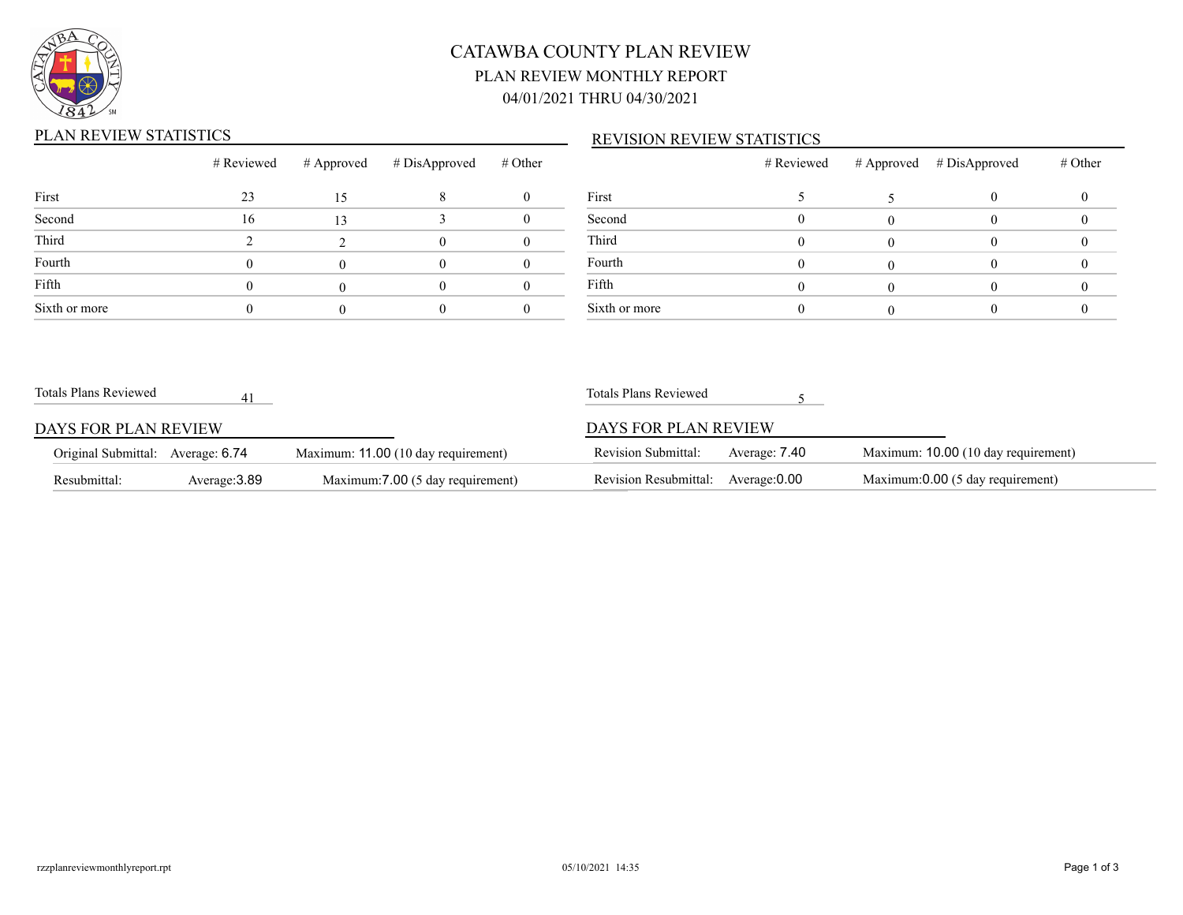

# CATAWBA COUNTY PLAN REVIEW PLAN REVIEW MONTHLY REPORT 04/01/2021 THRU 04/30/2021

## PLAN REVIEW STATISTICS

### REVISION REVIEW STATISTICS

|               |    |    | # Reviewed # Approved # DisApproved # Other |  |
|---------------|----|----|---------------------------------------------|--|
| First         | 23 | 15 |                                             |  |
| Second        | 16 | 13 |                                             |  |
| Third         |    |    |                                             |  |
| Fourth        |    |    |                                             |  |
| Fifth         |    |    |                                             |  |
| Sixth or more |    |    |                                             |  |

|               | # Reviewed | # Approved # DisApproved | # Other |
|---------------|------------|--------------------------|---------|
| First         |            |                          |         |
| Second        |            |                          |         |
| Third         |            |                          |         |
| Fourth        |            |                          |         |
| Fifth         |            |                          |         |
| Sixth or more |            |                          |         |

| Totals Plans Reviewed             |               |                                     | Totals Plans Reviewed      |               |                                     |  |
|-----------------------------------|---------------|-------------------------------------|----------------------------|---------------|-------------------------------------|--|
| DAYS FOR PLAN REVIEW              |               |                                     | DAYS FOR PLAN REVIEW       |               |                                     |  |
| Original Submittal: Average: 6.74 |               | Maximum: 11.00 (10 day requirement) | <b>Revision Submittal:</b> | Average: 7.40 | Maximum: 10.00 (10 day requirement) |  |
| Resubmittal:                      | Average: 3.89 | Maximum: 7.00 (5 day requirement)   | Revision Resubmittal:      | Average: 0.00 | Maximum:0.00 (5 day requirement)    |  |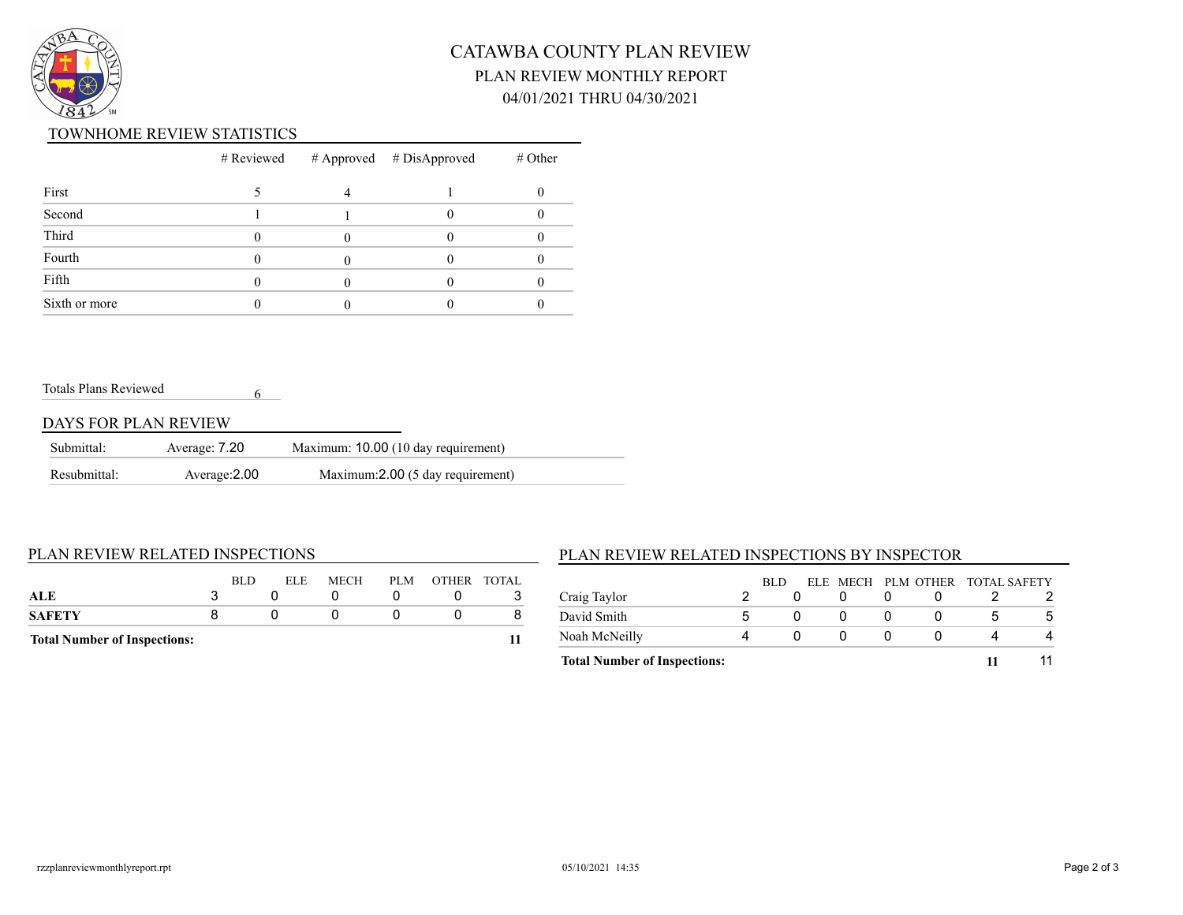

# CATAWBA COUNTY PLAN REVIEW PLAN REVIEW MONTHLY REPORT 04/01/2021 THRU 04/30/2021

#### TOWNHOME REVIEW STATISTICS

|               |  | $#$ Reviewed $#$ Approved $#$ DisApproved | $#$ Other |
|---------------|--|-------------------------------------------|-----------|
| First         |  |                                           |           |
| Second        |  |                                           |           |
| Third         |  |                                           |           |
| Fourth        |  |                                           |           |
| Fifth         |  |                                           |           |
| Sixth or more |  |                                           |           |

Totals Plans Reviewed

### DAYS FOR PLAN REVIEW

| Submittal:   | Average: 7.20 | Maximum: 10.00 (10 day requirement) |  |
|--------------|---------------|-------------------------------------|--|
| Resubmittal: | Average: 2.00 | Maximum: 2.00 (5 day requirement)   |  |

6

#### PLAN REVIEW RELATED INSPECTIONS

| <b>Total Number of Inspections:</b> |     |                     |     |             |
|-------------------------------------|-----|---------------------|-----|-------------|
| <b>SAFETY</b>                       |     |                     |     |             |
| ALE                                 |     |                     |     |             |
|                                     | RLD | <b>MECH</b><br>ELE. | PLM | OTHER TOTAL |
|                                     |     |                     |     |             |

## PLAN REVIEW RELATED INSPECTIONS BY INSPECTOR

|                                     |   | RLD |  |  | ELE MECH PLM OTHER TOTAL SAFETY |   |
|-------------------------------------|---|-----|--|--|---------------------------------|---|
| Craig Taylor                        |   |     |  |  |                                 |   |
| David Smith                         | h |     |  |  |                                 | Ð |
| Noah McNeilly                       |   |     |  |  |                                 |   |
| <b>Total Number of Inspections:</b> |   |     |  |  |                                 |   |